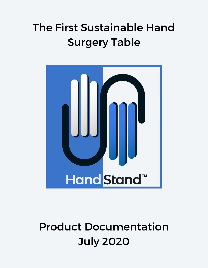# The First Sustainable Hand Surgery Table



## Product Documentation July 2020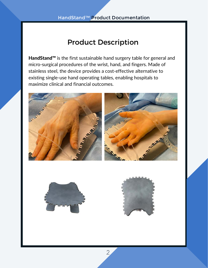## Product Description

HandStand™ is the first sustainable hand surgery table for general and micro-surgical procedures of the wrist, hand, and fingers. Made of stainless steel, the device provides a cost-effective alternative to existing single-use hand operating tables, enabling hospitals to maximize clinical and financial outcomes.







2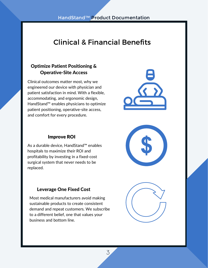## Clinical & Financial Benefits

#### Optimize Patient Positioning & Operative-Site Access

Clinical outcomes matter most, why we engineered our device with physician and patient satisfaction in mind. With a flexible, accommodating, and ergonomic design, HandStand™ enables physicians to optimize patient positioning, operative-site access, and comfort for every procedure.



#### Improve ROI

As a durable device, HandStand™ enables hospitals to maximize their ROI and profitability by investing in a fixed-cost surgical system that never needs to be replaced.

#### Leverage One Fixed Cost

Most medical manufacturers avoid making sustainable products to create consistent demand and repeat customers. We subscribe to a different belief, one that values your business and bottom line.





3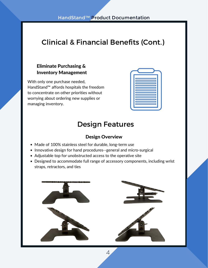## Clinical & Financial Benefits (Cont.)

#### Eliminate Purchasing & Inventory Management

With only one purchase needed, HandStand™ affords hospitals the freedom to concentrate on other priorities without worrying about ordering new supplies or managing inventory.

| E                                          |  |
|--------------------------------------------|--|
| E                                          |  |
| ⊏<br>$\overline{\phantom{a}}$              |  |
| <b>Contract Contract Contract Contract</b> |  |
| —<br>╾                                     |  |
|                                            |  |
| ▭                                          |  |
| <u>rans</u>                                |  |
|                                            |  |

### Design Features

#### Design Overview

- Made of 100% stainless steel for durable, long-term use
- Innovative design for hand procedures--general and micro-surgical
- Adjustable top for unobstructed access to the operative site
- Designed to accommodate full range of accessory components, including wrist straps, retractors, and ties



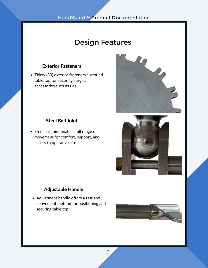## Design Features

#### Exterior Fasteners

Thirty (30) exterior fasteners surround table top for securing surgical accessories such as ties

#### Steel Ball Joint

• Steel ball joint enables full range of movement for comfort, support, and access to operative site

#### Adjustable Handle

Adjustment handle offers a fast and convenient method for positioning and securing table top